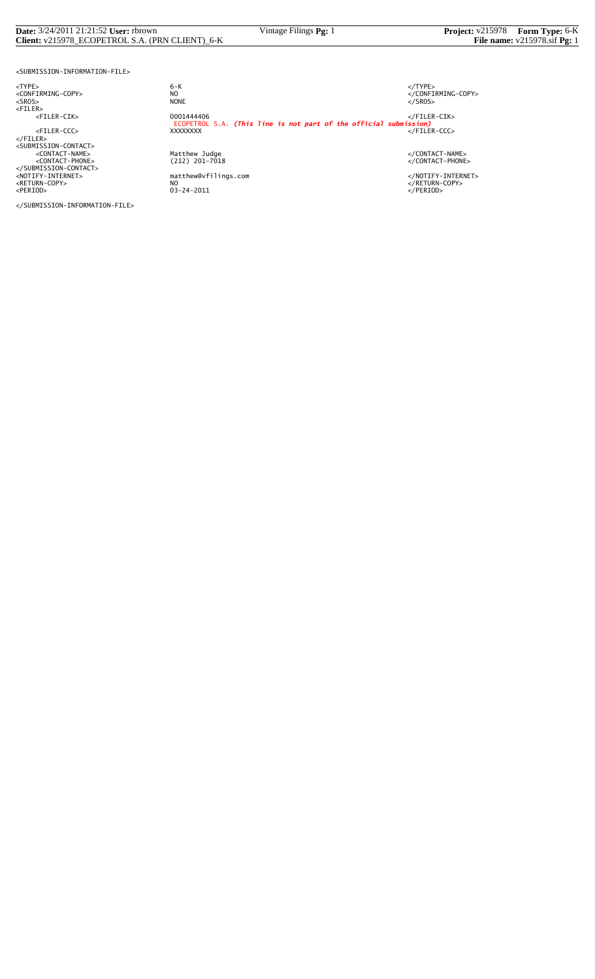#### **Date:** 3/24/2011 21:21:52 **User:** rbrown Vintage Filings **Pg:** 1 **Project:** v215978 **Form Type:** 6-K **Client:** v215978\_ECOPETROL S.A. (PRN CLIENT)\_6-K **File name:** v215978.sif **Pg:** 1

<SUBMISSION-INFORMATION-FILE>

<TYPE> 6-K </TYPE>

</SUBMISSION-INFORMATION-FILE>

 $6 - K$ NO<br>
NO<br>
NONE<br>
NONE<br>
NONE<br>
S/SROS> <SROS> NONE </SROS> <FILER> <FILER-CIK> 0001444406 </FILER-CIK> ECOPETROL S.A. *(This line is not part of the official submission)* <FILER-CCC> XXXXXXXX </FILER-CCC> </FILER><br><SUBMISSION-CONTACT><br><</CONTACT-PHONE><br><</CONTACT-PHONE><br><</CONTACT-PHONE><br></SUBMISSION-CONTACT><br></SUBMISSION-CONTACT><br></RETURN-COPY>>>>>>>>>>>>>>>>+AOTIFY-INTERNET><br></RETURN-COPY>>>+AOTIFY-INTERNET><br></RETURN-COPY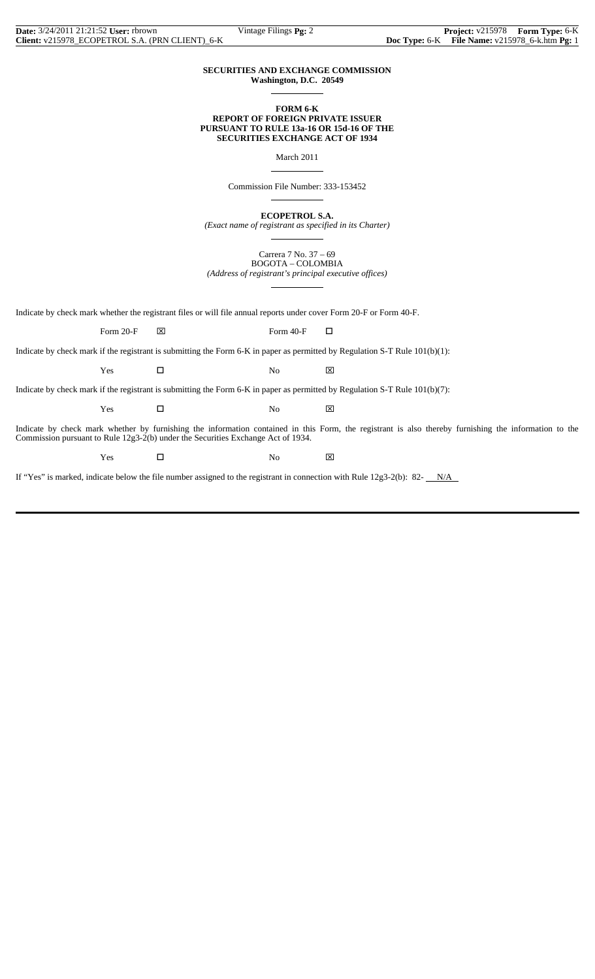## **SECURITIES AND EXCHANGE COMMISSION Washington, D.C. 20549**

 $\overline{a}$ 

 $\overline{a}$ 

 $\overline{a}$ 

 $\overline{a}$ 

## **FORM 6-K REPORT OF FOREIGN PRIVATE ISSUER PURSUANT TO RULE 13a-16 OR 15d-16 OF THE SECURITIES EXCHANGE ACT OF 1934**

March 2011

Commission File Number: 333-153452

**ECOPETROL S.A.**

*(Exact name of registrant as specified in its Charter)*  $\overline{a}$ 

> Carrera 7 No. 37 – 69 BOGOTA – COLOMBIA

*(Address of registrant's principal executive offices)*

Indicate by check mark whether the registrant files or will file annual reports under cover Form 20-F or Form 40-F.

Form 20-F  $\boxtimes$  Form 40-F  $\Box$ 

Indicate by check mark if the registrant is submitting the Form 6-K in paper as permitted by Regulation S-T Rule 101(b)(1):

 $Yes$   $\Box$  No  $\boxtimes$ 

Indicate by check mark if the registrant is submitting the Form 6-K in paper as permitted by Regulation S-T Rule 101(b)(7):

 $Yes$   $\Box$  No  $\boxtimes$ 

Indicate by check mark whether by furnishing the information contained in this Form, the registrant is also thereby furnishing the information to the Commission pursuant to Rule 12g3-2(b) under the Securities Exchange Act of 1934.

Yes □ No ⊠

If "Yes" is marked, indicate below the file number assigned to the registrant in connection with Rule  $12g3-2(b)$ : 82- $N/A$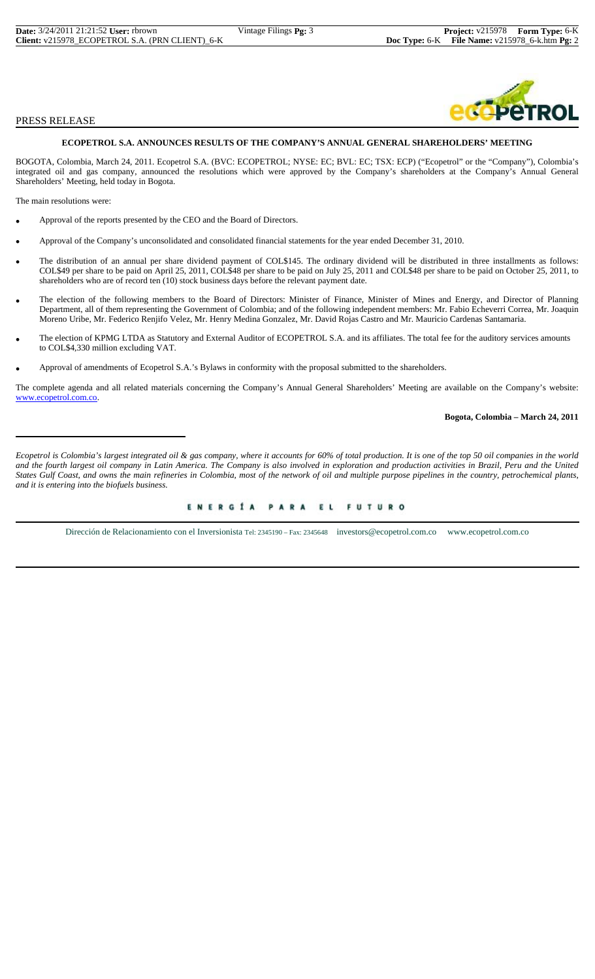| <b>Date:</b> 3/24/2011 21:21:52 User: rbrown    | Vintage Filings <b>Pg:</b> 3 | <b>Project:</b> $v215978$ <b>Form Type:</b> 6-K         |  |
|-------------------------------------------------|------------------------------|---------------------------------------------------------|--|
| Client: v215978 ECOPETROL S.A. (PRN CLIENT) 6-K |                              | <b>Doc Type:</b> 6-K File Name: $v215978$ 6-k.htm Pg: 2 |  |

## PRESS RELEASE

## **ECOPETROL S.A. ANNOUNCES RESULTS OF THE COMPANY'S ANNUAL GENERAL SHAREHOLDERS' MEETING**

BOGOTA, Colombia, March 24, 2011. Ecopetrol S.A. (BVC: ECOPETROL; NYSE: EC; BVL: EC; TSX: ECP) ("Ecopetrol" or the "Company"), Colombia's integrated oil and gas company, announced the resolutions which were approved by the Company's shareholders at the Company's Annual General Shareholders' Meeting, held today in Bogota.

The main resolutions were:

- Approval of the reports presented by the CEO and the Board of Directors.
- Approval of the Company's unconsolidated and consolidated financial statements for the year ended December 31, 2010.
- The distribution of an annual per share dividend payment of COL\$145. The ordinary dividend will be distributed in three installments as follows: COL\$49 per share to be paid on April 25, 2011, COL\$48 per share to be paid on July 25, 2011 and COL\$48 per share to be paid on October 25, 2011, to shareholders who are of record ten (10) stock business days before the relevant payment date.
- The election of the following members to the Board of Directors: Minister of Finance, Minister of Mines and Energy, and Director of Planning Department, all of them representing the Government of Colombia; and of the following independent members: Mr. Fabio Echeverri Correa, Mr. Joaquin Moreno Uribe, Mr. Federico Renjifo Velez, Mr. Henry Medina Gonzalez, Mr. David Rojas Castro and Mr. Mauricio Cardenas Santamaria.
- The election of KPMG LTDA as Statutory and External Auditor of ECOPETROL S.A. and its affiliates. The total fee for the auditory services amounts to COL\$4,330 million excluding VAT.
- Approval of amendments of Ecopetrol S.A.'s Bylaws in conformity with the proposal submitted to the shareholders.

The complete agenda and all related materials concerning the Company's Annual General Shareholders' Meeting are available on the Company's website: www.ecopetrol.com.co.

## **Bogota, Colombia – March 24, 2011**

*Ecopetrol is Colombia's largest integrated oil & gas company, where it accounts for 60% of total production. It is one of the top 50 oil companies in the world and the fourth largest oil company in Latin America. The Company is also involved in exploration and production activities in Brazil, Peru and the United States Gulf Coast, and owns the main refineries in Colombia, most of the network of oil and multiple purpose pipelines in the country, petrochemical plants, and it is entering into the biofuels business.*

# ENERGÍA PARA EL FUTURO

Dirección de Relacionamiento con el Inversionista Tel: 2345190 – Fax: 2345648 investors@ecopetrol.com.co www.ecopetrol.com.co

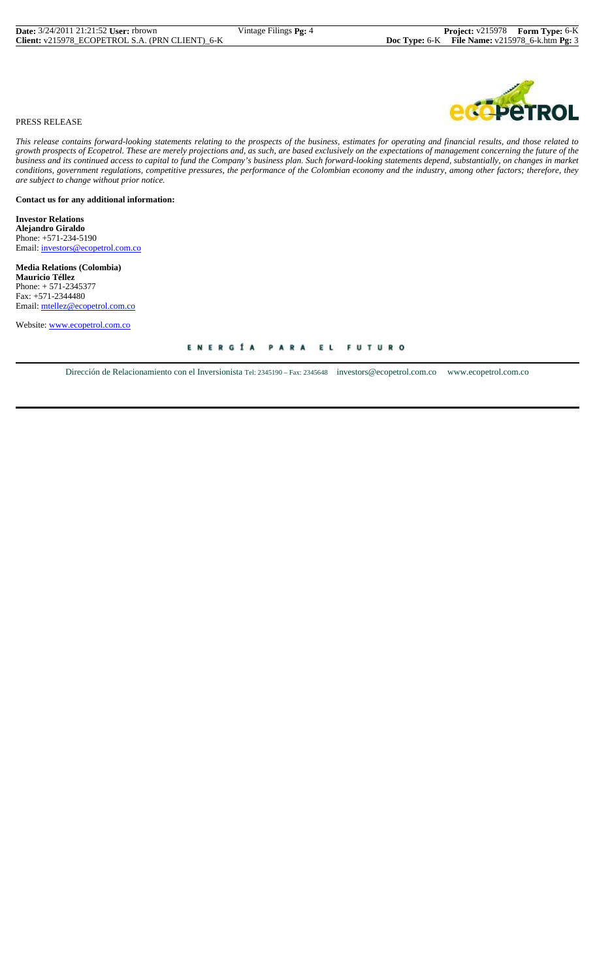

## PRESS RELEASE

*This release contains forward-looking statements relating to the prospects of the business, estimates for operating and financial results, and those related to growth prospects of Ecopetrol. These are merely projections and, as such, are based exclusively on the expectations of management concerning the future of the business and its continued access to capital to fund the Company's business plan. Such forward-looking statements depend, substantially, on changes in market conditions, government regulations, competitive pressures, the performance of the Colombian economy and the industry, among other factors; therefore, they are subject to change without prior notice.*

## **Contact us for any additional information:**

**Investor Relations Alejandro Giraldo** Phone: +571-234-5190 Email: investors@ecopetrol.com.co

**Media Relations (Colombia) Mauricio Téllez** Phone: + 571-2345377 Fax: +571-2344480 Email: mtellez@ecopetrol.com.co

Website: www.ecopetrol.com.co

ENERGÍA PARA EL FUTURO

Dirección de Relacionamiento con el Inversionista Tel: 2345190 – Fax: 2345648 investors@ecopetrol.com.co www.ecopetrol.com.co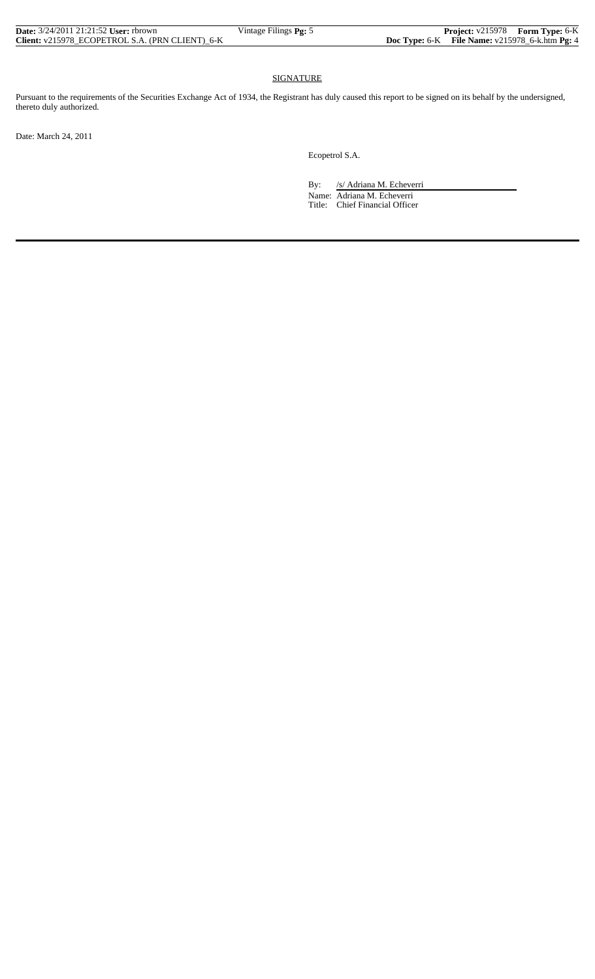| <b>Date:</b> 3/24/2011 21:21:52 User: rbrown    | Vintage Filings Pg: 5 | <b>Project:</b> v215978 Form Type: 6-K             |  |
|-------------------------------------------------|-----------------------|----------------------------------------------------|--|
| Client: v215978 ECOPETROL S.A. (PRN CLIENT) 6-K |                       | Doc Type: $6-K$ File Name: $v215978$ 6-k.htm Pg: 4 |  |

## SIGNATURE

Pursuant to the requirements of the Securities Exchange Act of 1934, the Registrant has duly caused this report to be signed on its behalf by the undersigned, thereto duly authorized.

Date: March 24, 2011

Ecopetrol S.A.

By: /s/ Adriana M. Echeverri

 Name: Adriana M. Echeverri Title: Chief Financial Officer